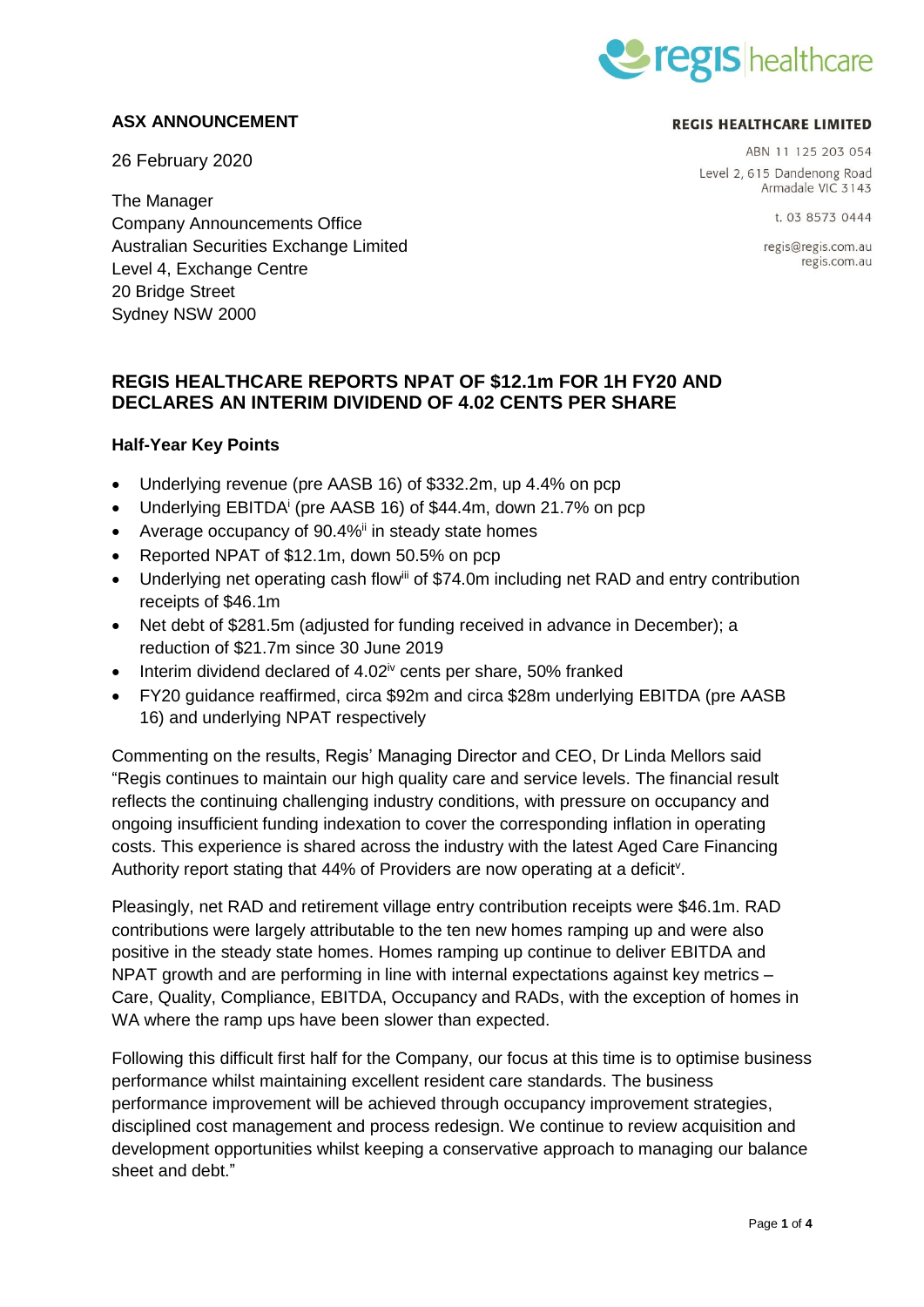

### **ASX ANNOUNCEMENT**

26 February 2020

#### **REGIS HEALTHCARE LIMITED**

ABN 11 125 203 054 Level 2, 615 Dandenong Road Armadale VIC 3143

t. 03 8573 0444

regis@regis.com.au regis.com.au

The Manager Company Announcements Office Australian Securities Exchange Limited Level 4, Exchange Centre 20 Bridge Street Sydney NSW 2000

# **REGIS HEALTHCARE REPORTS NPAT OF \$12.1m FOR 1H FY20 AND DECLARES AN INTERIM DIVIDEND OF 4.02 CENTS PER SHARE**

### **Half-Year Key Points**

- Underlying revenue (pre AASB 16) of \$332.2m, up 4.4% on pcp
- Underlying EBITDA<sup>i</sup> (pre AASB 16) of \$44.4m, down 21.7% on pcp
- Average occupancy of  $90.4\%$ <sup>ii</sup> in steady state homes
- Reported NPAT of \$12.1m, down 50.5% on pcp
- Underlying net operating cash flow<sup>iii</sup> of \$74.0m including net RAD and entry contribution receipts of \$46.1m
- Net debt of \$281.5m (adjusted for funding received in advance in December); a reduction of \$21.7m since 30 June 2019
- $\bullet$  Interim dividend declared of 4.02<sup>iv</sup> cents per share, 50% franked
- FY20 guidance reaffirmed, circa \$92m and circa \$28m underlying EBITDA (pre AASB 16) and underlying NPAT respectively

Commenting on the results, Regis' Managing Director and CEO, Dr Linda Mellors said "Regis continues to maintain our high quality care and service levels. The financial result reflects the continuing challenging industry conditions, with pressure on occupancy and ongoing insufficient funding indexation to cover the corresponding inflation in operating costs. This experience is shared across the industry with the latest Aged Care Financing Authority report stating that 44% of Providers are now operating at a deficit<sup>v</sup>.

Pleasingly, net RAD and retirement village entry contribution receipts were \$46.1m. RAD contributions were largely attributable to the ten new homes ramping up and were also positive in the steady state homes. Homes ramping up continue to deliver EBITDA and NPAT growth and are performing in line with internal expectations against key metrics – Care, Quality, Compliance, EBITDA, Occupancy and RADs, with the exception of homes in WA where the ramp ups have been slower than expected.

Following this difficult first half for the Company, our focus at this time is to optimise business performance whilst maintaining excellent resident care standards. The business performance improvement will be achieved through occupancy improvement strategies, disciplined cost management and process redesign. We continue to review acquisition and development opportunities whilst keeping a conservative approach to managing our balance sheet and debt."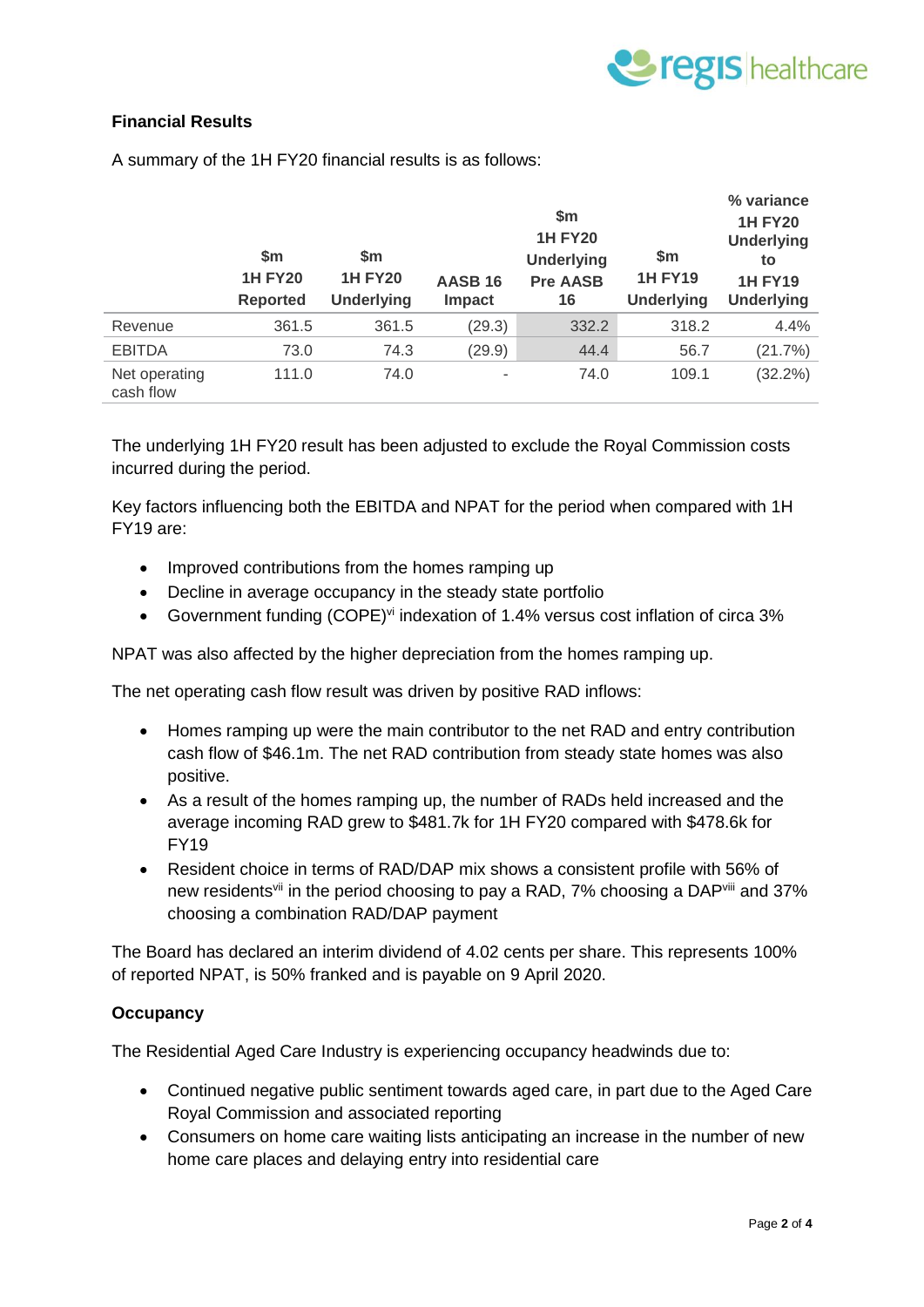

## **Financial Results**

|                            | $\mathsf{sm}$<br><b>1H FY20</b><br><b>Reported</b> | \$m<br><b>1H FY20</b><br><b>Underlying</b> | <b>AASB 16</b><br>Impact | \$m<br><b>1H FY20</b><br><b>Underlying</b><br><b>Pre AASB</b><br>16 | \$m<br><b>1H FY19</b><br><b>Underlying</b> | % variance<br><b>1H FY20</b><br><b>Underlying</b><br>to<br><b>1H FY19</b><br><b>Underlying</b> |
|----------------------------|----------------------------------------------------|--------------------------------------------|--------------------------|---------------------------------------------------------------------|--------------------------------------------|------------------------------------------------------------------------------------------------|
| Revenue                    | 361.5                                              | 361.5                                      | (29.3)                   | 332.2                                                               | 318.2                                      | 4.4%                                                                                           |
| <b>EBITDA</b>              | 73.0                                               | 74.3                                       | (29.9)                   | 44.4                                                                | 56.7                                       | (21.7%)                                                                                        |
| Net operating<br>cash flow | 111.0                                              | 74.0                                       | ۰                        | 74.0                                                                | 109.1                                      | $(32.2\%)$                                                                                     |

A summary of the 1H FY20 financial results is as follows:

The underlying 1H FY20 result has been adjusted to exclude the Royal Commission costs incurred during the period.

Key factors influencing both the EBITDA and NPAT for the period when compared with 1H FY19 are:

- Improved contributions from the homes ramping up
- Decline in average occupancy in the steady state portfolio
- Government funding (COPE)<sup>vi</sup> indexation of 1.4% versus cost inflation of circa 3%

NPAT was also affected by the higher depreciation from the homes ramping up.

The net operating cash flow result was driven by positive RAD inflows:

- Homes ramping up were the main contributor to the net RAD and entry contribution cash flow of \$46.1m. The net RAD contribution from steady state homes was also positive.
- As a result of the homes ramping up, the number of RADs held increased and the average incoming RAD grew to \$481.7k for 1H FY20 compared with \$478.6k for FY19
- Resident choice in terms of RAD/DAP mix shows a consistent profile with 56% of new residents<sup>vii</sup> in the period choosing to pay a RAD, 7% choosing a DAP<sup>viii</sup> and 37% choosing a combination RAD/DAP payment

The Board has declared an interim dividend of 4.02 cents per share. This represents 100% of reported NPAT, is 50% franked and is payable on 9 April 2020.

#### **Occupancy**

The Residential Aged Care Industry is experiencing occupancy headwinds due to:

- Continued negative public sentiment towards aged care, in part due to the Aged Care Royal Commission and associated reporting
- Consumers on home care waiting lists anticipating an increase in the number of new home care places and delaying entry into residential care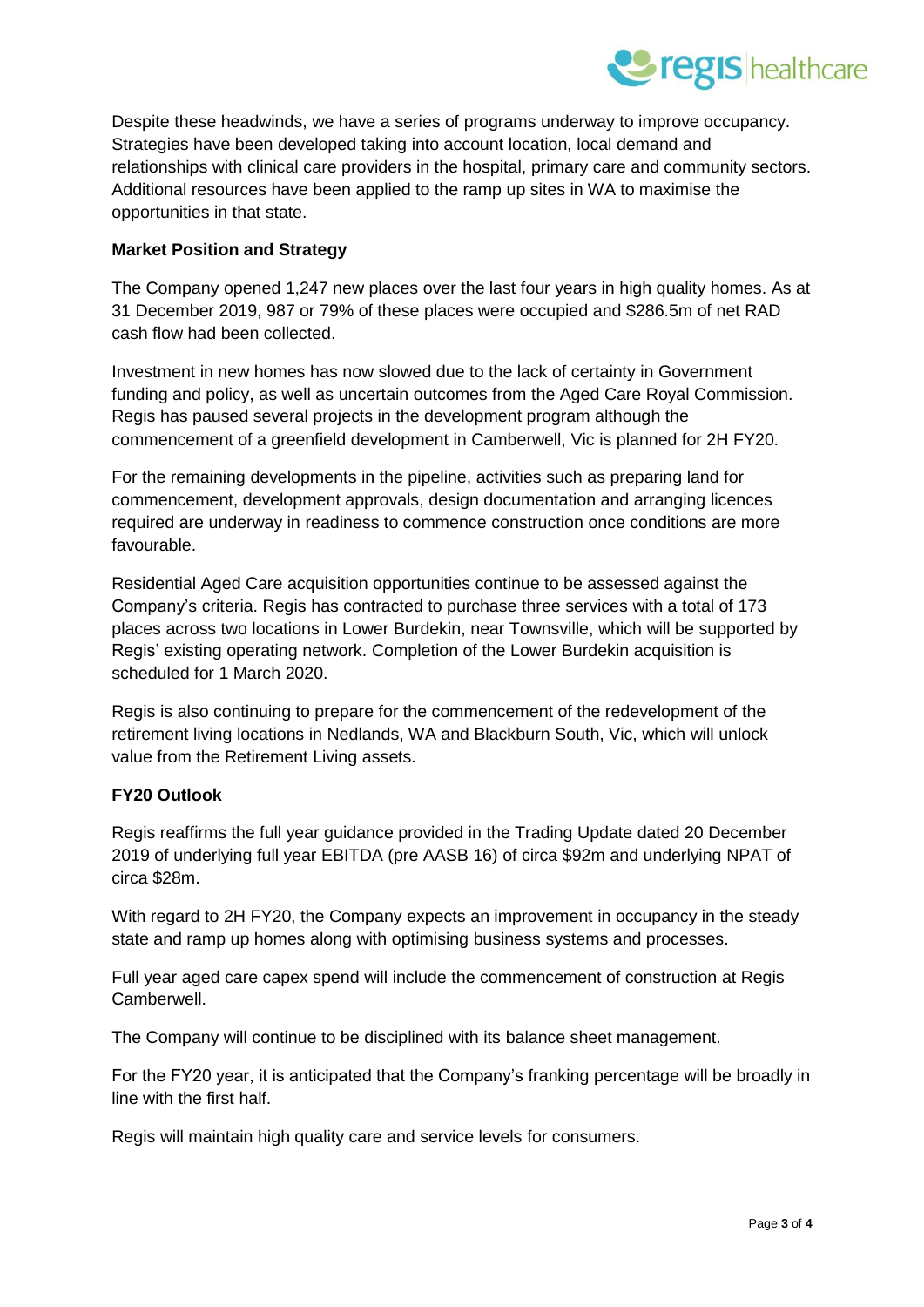

Despite these headwinds, we have a series of programs underway to improve occupancy. Strategies have been developed taking into account location, local demand and relationships with clinical care providers in the hospital, primary care and community sectors. Additional resources have been applied to the ramp up sites in WA to maximise the opportunities in that state.

### **Market Position and Strategy**

The Company opened 1,247 new places over the last four years in high quality homes. As at 31 December 2019, 987 or 79% of these places were occupied and \$286.5m of net RAD cash flow had been collected.

Investment in new homes has now slowed due to the lack of certainty in Government funding and policy, as well as uncertain outcomes from the Aged Care Royal Commission. Regis has paused several projects in the development program although the commencement of a greenfield development in Camberwell, Vic is planned for 2H FY20.

For the remaining developments in the pipeline, activities such as preparing land for commencement, development approvals, design documentation and arranging licences required are underway in readiness to commence construction once conditions are more favourable.

Residential Aged Care acquisition opportunities continue to be assessed against the Company's criteria. Regis has contracted to purchase three services with a total of 173 places across two locations in Lower Burdekin, near Townsville, which will be supported by Regis' existing operating network. Completion of the Lower Burdekin acquisition is scheduled for 1 March 2020.

Regis is also continuing to prepare for the commencement of the redevelopment of the retirement living locations in Nedlands, WA and Blackburn South, Vic, which will unlock value from the Retirement Living assets.

### **FY20 Outlook**

Regis reaffirms the full year guidance provided in the Trading Update dated 20 December 2019 of underlying full year EBITDA (pre AASB 16) of circa \$92m and underlying NPAT of circa \$28m.

With regard to 2H FY20, the Company expects an improvement in occupancy in the steady state and ramp up homes along with optimising business systems and processes.

Full year aged care capex spend will include the commencement of construction at Regis Camberwell.

The Company will continue to be disciplined with its balance sheet management.

For the FY20 year, it is anticipated that the Company's franking percentage will be broadly in line with the first half.

Regis will maintain high quality care and service levels for consumers.